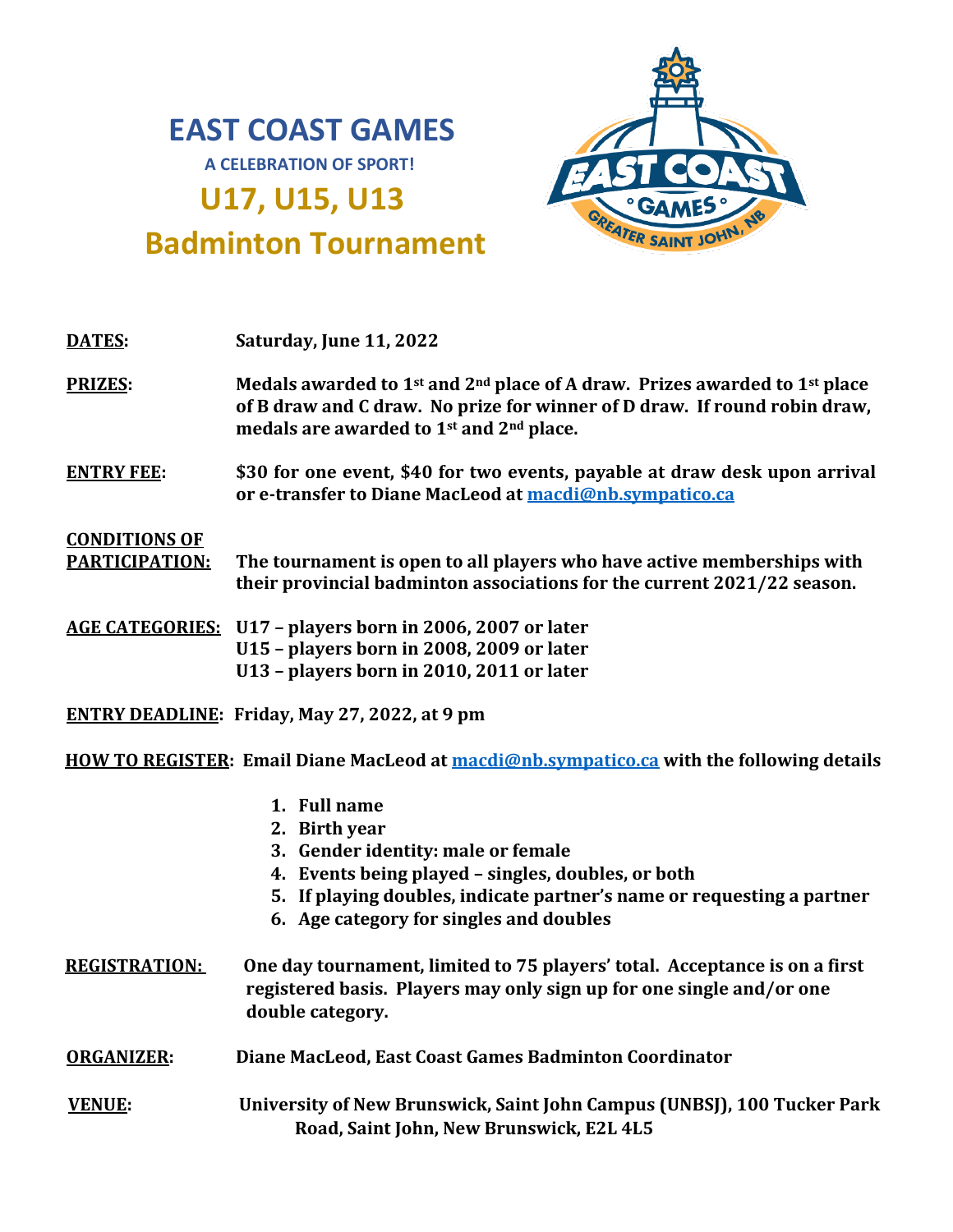# **EAST COAST GAMES**

**A CELEBRATION OF SPORT!**

## **U17, U15, U13**



### **Badminton Tournament**

| DATES:                                                                                   | Saturday, June 11, 2022                                                                                                                                                                                                                        |  |
|------------------------------------------------------------------------------------------|------------------------------------------------------------------------------------------------------------------------------------------------------------------------------------------------------------------------------------------------|--|
| <b>PRIZES:</b>                                                                           | Medals awarded to 1 <sup>st</sup> and 2 <sup>nd</sup> place of A draw. Prizes awarded to 1 <sup>st</sup> place<br>of B draw and C draw. No prize for winner of D draw. If round robin draw,<br>medals are awarded to 1st and 2nd place.        |  |
| <b>ENTRY FEE:</b>                                                                        | \$30 for one event, \$40 for two events, payable at draw desk upon arrival<br>or e-transfer to Diane MacLeod at macdi@nb.sympatico.ca                                                                                                          |  |
| <b>CONDITIONS OF</b><br><b>PARTICIPATION:</b>                                            | The tournament is open to all players who have active memberships with<br>their provincial badminton associations for the current 2021/22 season.                                                                                              |  |
|                                                                                          | <b>AGE CATEGORIES:</b> U17 - players born in 2006, 2007 or later<br>U15 - players born in 2008, 2009 or later<br>U13 - players born in 2010, 2011 or later                                                                                     |  |
| <b>ENTRY DEADLINE: Friday, May 27, 2022, at 9 pm</b>                                     |                                                                                                                                                                                                                                                |  |
| HOW TO REGISTER: Email Diane MacLeod at macdi@nb.sympatico.ca with the following details |                                                                                                                                                                                                                                                |  |
|                                                                                          | 1. Full name<br>2. Birth year<br>3. Gender identity: male or female<br>4. Events being played - singles, doubles, or both<br>5. If playing doubles, indicate partner's name or requesting a partner<br>6. Age category for singles and doubles |  |
| <b>REGISTRATION:</b>                                                                     | One day tournament, limited to 75 players' total. Acceptance is on a first<br>registered basis. Players may only sign up for one single and/or one<br>double category.                                                                         |  |
| <b>ORGANIZER:</b>                                                                        | Diane MacLeod, East Coast Games Badminton Coordinator                                                                                                                                                                                          |  |
| <b>VENUE:</b>                                                                            | University of New Brunswick, Saint John Campus (UNBSJ), 100 Tucker Park                                                                                                                                                                        |  |

**Road, Saint John, New Brunswick, E2L 4L5**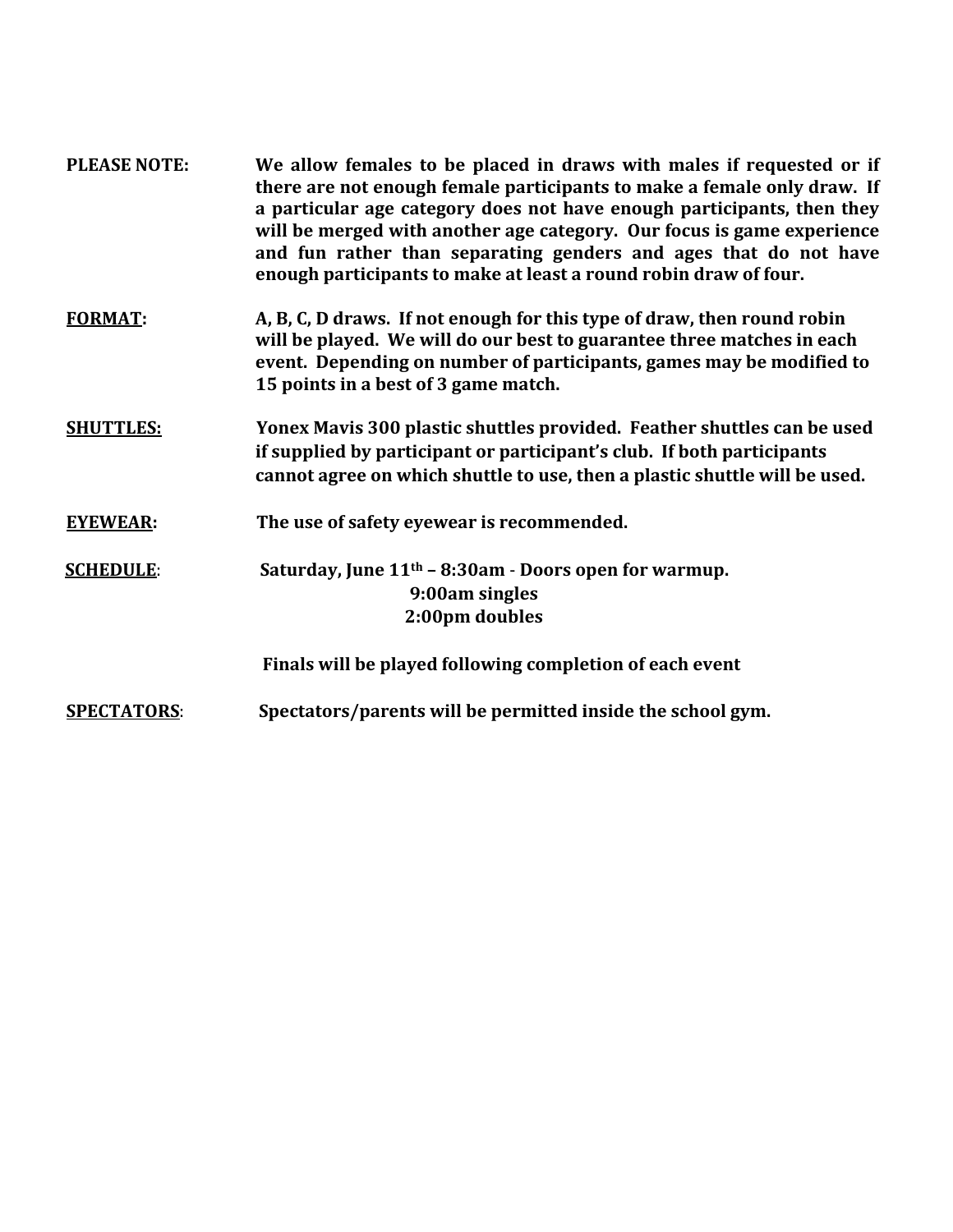| <b>PLEASE NOTE:</b> | We allow females to be placed in draws with males if requested or if<br>there are not enough female participants to make a female only draw. If<br>a particular age category does not have enough participants, then they<br>will be merged with another age category. Our focus is game experience<br>and fun rather than separating genders and ages that do not have<br>enough participants to make at least a round robin draw of four. |
|---------------------|---------------------------------------------------------------------------------------------------------------------------------------------------------------------------------------------------------------------------------------------------------------------------------------------------------------------------------------------------------------------------------------------------------------------------------------------|
| <b>FORMAT:</b>      | A, B, C, D draws. If not enough for this type of draw, then round robin<br>will be played. We will do our best to guarantee three matches in each<br>event. Depending on number of participants, games may be modified to<br>15 points in a best of 3 game match.                                                                                                                                                                           |
| <b>SHUTTLES:</b>    | Yonex Mavis 300 plastic shuttles provided. Feather shuttles can be used<br>if supplied by participant or participant's club. If both participants<br>cannot agree on which shuttle to use, then a plastic shuttle will be used.                                                                                                                                                                                                             |
| <b>EYEWEAR:</b>     | The use of safety eyewear is recommended.                                                                                                                                                                                                                                                                                                                                                                                                   |
| <b>SCHEDULE:</b>    | Saturday, June $11th - 8:30am - Doors$ open for warmup.<br>9:00am singles<br>2:00pm doubles                                                                                                                                                                                                                                                                                                                                                 |
|                     | Finals will be played following completion of each event                                                                                                                                                                                                                                                                                                                                                                                    |
| <b>SPECTATORS:</b>  | Spectators/parents will be permitted inside the school gym.                                                                                                                                                                                                                                                                                                                                                                                 |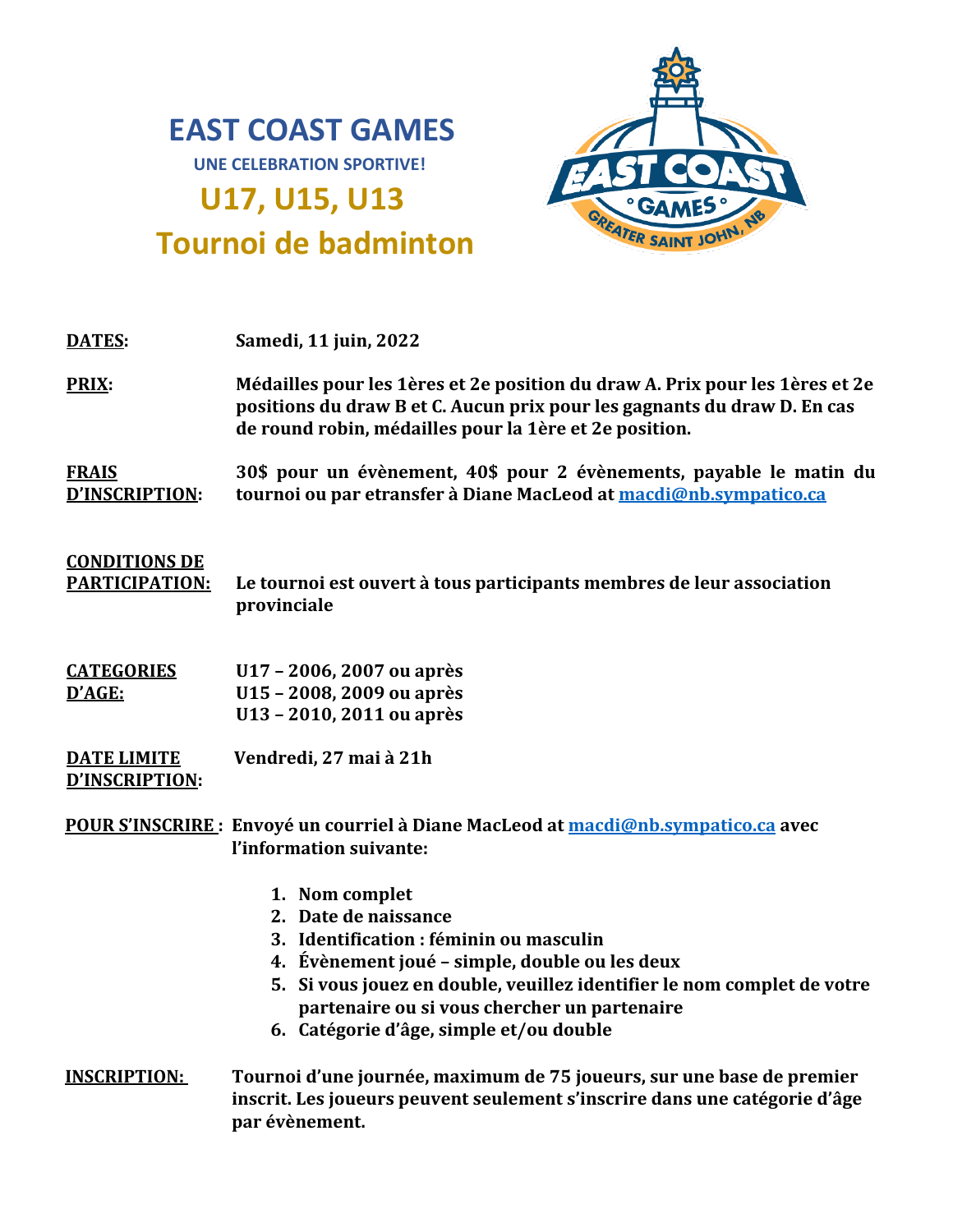# **EAST COAST GAMES**



**UNE CELEBRATION SPORTIVE!**

## **Tournoi de badminton**

**U17, U15, U13** 

| Samedi, 11 juin, 2022<br><b>DATES:</b>                                                                                                                                                                                      |  |
|-----------------------------------------------------------------------------------------------------------------------------------------------------------------------------------------------------------------------------|--|
| PRIX:<br>Médailles pour les 1ères et 2e position du draw A. Prix pour les 1ères et 2e<br>positions du draw B et C. Aucun prix pour les gagnants du draw D. En cas<br>de round robin, médailles pour la 1ère et 2e position. |  |

**FRAIS D'INSCRIPTION: 30\$ pour un évènement, 40\$ pour 2 évènements, payable le matin du tournoi ou par etransfer à Diane MacLeod at [macdi@nb.sympatico.ca](mailto:macdi@nb.sympatico.ca)**

#### **CONDITIONS DE**

**PARTICIPATION: Le tournoi est ouvert à tous participants membres de leur association provinciale** 

**CATEGORIES D'AGE: U17 – 2006, 2007 ou après U15 – 2008, 2009 ou après U13 – 2010, 2011 ou après**

**DATE LIMITE D'INSCRIPTION: Vendredi, 27 mai à 21h** 

**POUR S'INSCRIRE : Envoyé un courriel à Diane MacLeod at [macdi@nb.sympatico.ca](mailto:macdi@nb.sympatico.ca) avec l'information suivante:** 

- **1. Nom complet**
- **2. Date de naissance**
- **3. Identification : féminin ou masculin**
- **4. Évènement joué – simple, double ou les deux**
- **5. Si vous jouez en double, veuillez identifier le nom complet de votre partenaire ou si vous chercher un partenaire**
- **6. Catégorie d'âge, simple et/ou double**
- **INSCRIPTION: Tournoi d'une journée, maximum de 75 joueurs, sur une base de premier inscrit. Les joueurs peuvent seulement s'inscrire dans une catégorie d'âge par évènement.**